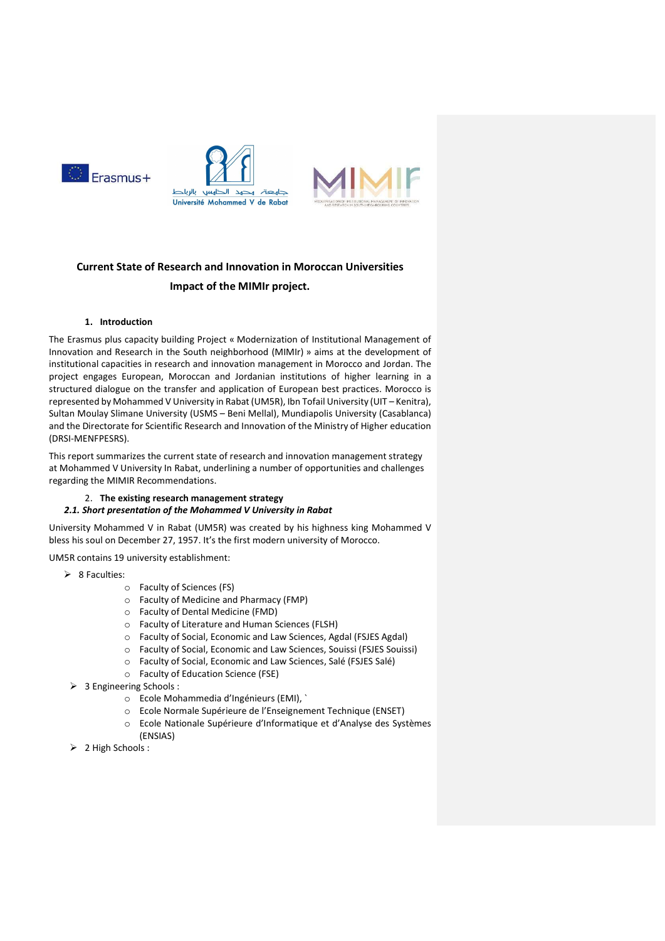

# Current State of Research and Innovation in Moroccan Universities Impact of the MIMIr project.

# 1. Introduction

The Erasmus plus capacity building Project « Modernization of Institutional Management of Innovation and Research in the South neighborhood (MIMIr) » aims at the development of institutional capacities in research and innovation management in Morocco and Jordan. The project engages European, Moroccan and Jordanian institutions of higher learning in a structured dialogue on the transfer and application of European best practices. Morocco is represented by Mohammed V University in Rabat (UM5R), Ibn Tofail University (UIT – Kenitra), Sultan Moulay Slimane University (USMS – Beni Mellal), Mundiapolis University (Casablanca) and the Directorate for Scientific Research and Innovation of the Ministry of Higher education (DRSI-MENFPESRS).

This report summarizes the current state of research and innovation management strategy at Mohammed V University In Rabat, underlining a number of opportunities and challenges regarding the MIMIR Recommendations.

#### 2. The existing research management strategy

#### 2.1. Short presentation of the Mohammed V University in Rabat

University Mohammed V in Rabat (UM5R) was created by his highness king Mohammed V bless his soul on December 27, 1957. It's the first modern university of Morocco.

UM5R contains 19 university establishment:

- $\geq 8$  Faculties:
	- o Faculty of Sciences (FS)
	- o Faculty of Medicine and Pharmacy (FMP)
	- o Faculty of Dental Medicine (FMD)
	- o Faculty of Literature and Human Sciences (FLSH)
	- o Faculty of Social, Economic and Law Sciences, Agdal (FSJES Agdal)
	- o Faculty of Social, Economic and Law Sciences, Souissi (FSJES Souissi)
	- o Faculty of Social, Economic and Law Sciences, Salé (FSJES Salé)
	- o Faculty of Education Science (FSE)
- > 3 Engineering Schools :
	- o Ecole Mohammedia d'Ingénieurs (EMI), `
	- o Ecole Normale Supérieure de l'Enseignement Technique (ENSET)
	- o Ecole Nationale Supérieure d'Informatique et d'Analyse des Systèmes (ENSIAS)
- > 2 High Schools :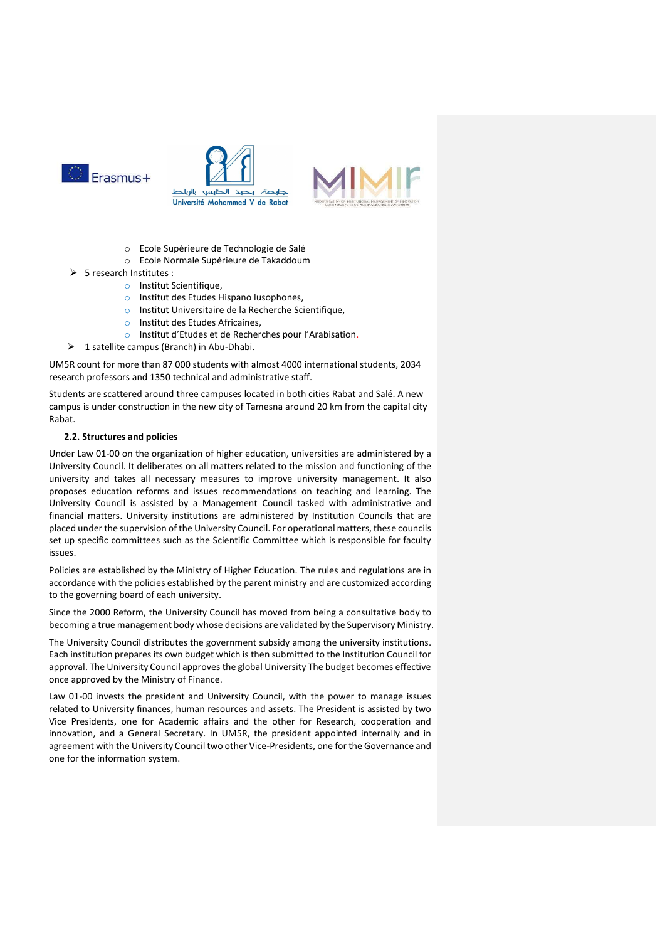





- o Ecole Supérieure de Technologie de Salé
- o Ecole Normale Supérieure de Takaddoum
- > 5 research Institutes :
	- o Institut Scientifique,
	- o Institut des Etudes Hispano lusophones,
	- o Institut Universitaire de la Recherche Scientifique,
	- o Institut des Etudes Africaines,
	- o Institut d'Etudes et de Recherches pour l'Arabisation.
- $\geq 1$  satellite campus (Branch) in Abu-Dhabi.

UM5R count for more than 87 000 students with almost 4000 international students, 2034 research professors and 1350 technical and administrative staff.

Students are scattered around three campuses located in both cities Rabat and Salé. A new campus is under construction in the new city of Tamesna around 20 km from the capital city Rabat.

# 2.2. Structures and policies

Under Law 01-00 on the organization of higher education, universities are administered by a University Council. It deliberates on all matters related to the mission and functioning of the university and takes all necessary measures to improve university management. It also proposes education reforms and issues recommendations on teaching and learning. The University Council is assisted by a Management Council tasked with administrative and financial matters. University institutions are administered by Institution Councils that are placed under the supervision of the University Council. For operational matters, these councils set up specific committees such as the Scientific Committee which is responsible for faculty issues.

Policies are established by the Ministry of Higher Education. The rules and regulations are in accordance with the policies established by the parent ministry and are customized according to the governing board of each university.

Since the 2000 Reform, the University Council has moved from being a consultative body to becoming a true management body whose decisions are validated by the Supervisory Ministry.

The University Council distributes the government subsidy among the university institutions. Each institution prepares its own budget which is then submitted to the Institution Council for approval. The University Council approves the global University The budget becomes effective once approved by the Ministry of Finance.

Law 01-00 invests the president and University Council, with the power to manage issues related to University finances, human resources and assets. The President is assisted by two Vice Presidents, one for Academic affairs and the other for Research, cooperation and innovation, and a General Secretary. In UM5R, the president appointed internally and in agreement with the University Council two other Vice-Presidents, one for the Governance and one for the information system.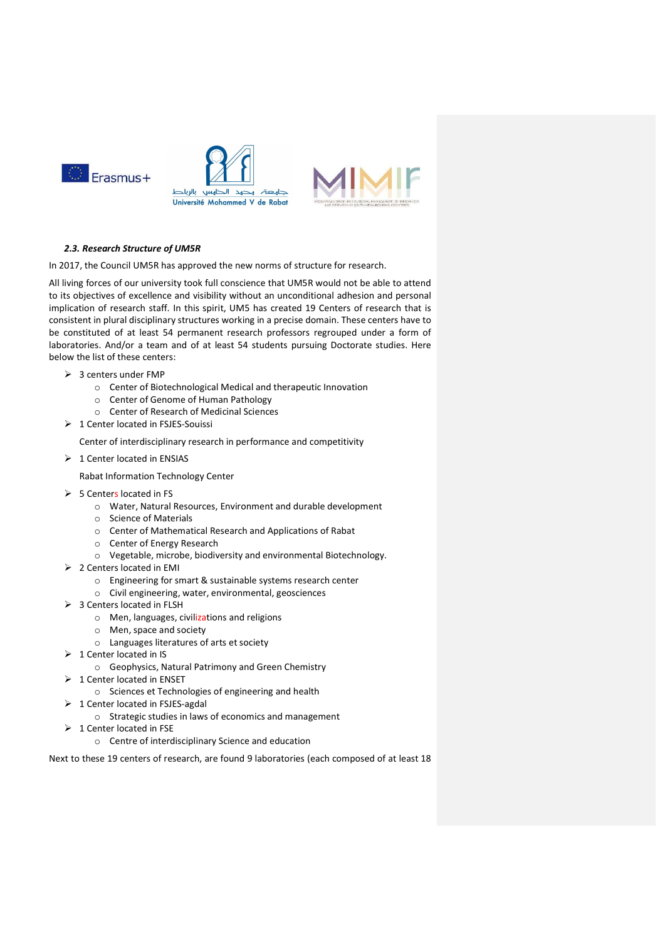

# 2.3. Research Structure of UM5R

In 2017, the Council UM5R has approved the new norms of structure for research.

All living forces of our university took full conscience that UM5R would not be able to attend to its objectives of excellence and visibility without an unconditional adhesion and personal implication of research staff. In this spirit, UM5 has created 19 Centers of research that is consistent in plural disciplinary structures working in a precise domain. These centers have to be constituted of at least 54 permanent research professors regrouped under a form of laboratories. And/or a team and of at least 54 students pursuing Doctorate studies. Here below the list of these centers:

- $\geqslant$  3 centers under FMP
	- o Center of Biotechnological Medical and therapeutic Innovation
	- o Center of Genome of Human Pathology
	- o Center of Research of Medicinal Sciences
- $\geq 1$  Center located in FSJES-Souissi

Center of interdisciplinary research in performance and competitivity

 $\geq 1$  Center located in ENSIAS

Rabat Information Technology Center

- $\geqslant$  5 Centers located in FS
	- o Water, Natural Resources, Environment and durable development
	- o Science of Materials
	- o Center of Mathematical Research and Applications of Rabat
	- o Center of Energy Research
	- o Vegetable, microbe, biodiversity and environmental Biotechnology.
- 2 Centers located in EMI
	- o Engineering for smart & sustainable systems research center
	- o Civil engineering, water, environmental, geosciences
- > 3 Centers located in FLSH
	- o Men, languages, civilizations and religions
	- o Men, space and society
	- o Languages literatures of arts et society
- $\triangleright$  1 Center located in IS
	- o Geophysics, Natural Patrimony and Green Chemistry
- $\geq 1$  Center located in ENSET
	- o Sciences et Technologies of engineering and health
- $\triangleright$  1 Center located in FSJES-agdal
	- o Strategic studies in laws of economics and management
- $\geq 1$  Center located in FSE o Centre of interdisciplinary Science and education

Next to these 19 centers of research, are found 9 laboratories (each composed of at least 18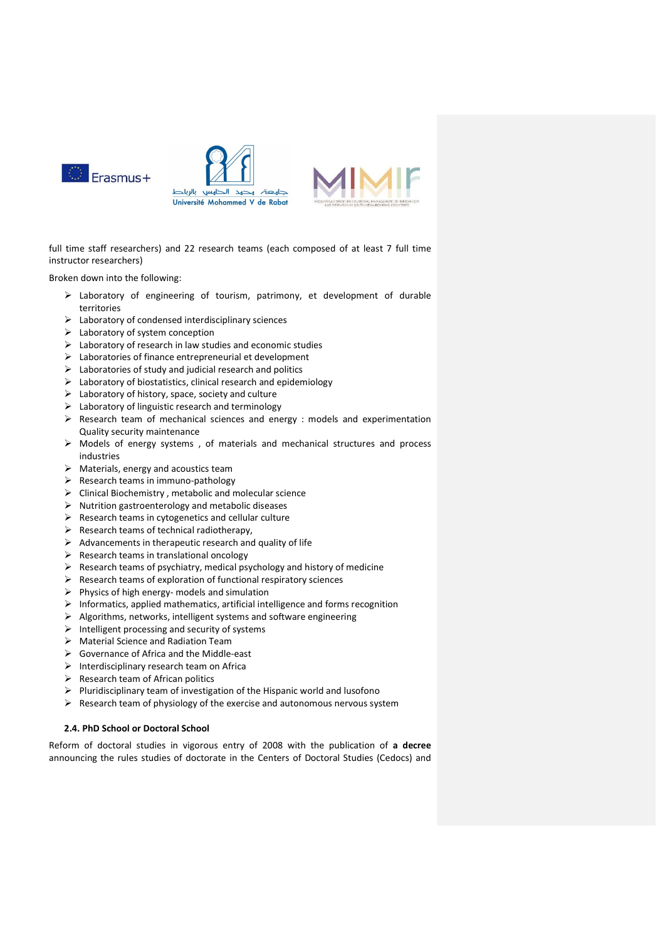





full time staff researchers) and 22 research teams (each composed of at least 7 full time instructor researchers)

Broken down into the following:

- Laboratory of engineering of tourism, patrimony, et development of durable territories
- $\triangleright$  Laboratory of condensed interdisciplinary sciences
- $\blacktriangleright$  Laboratory of system conception
- $\triangleright$  Laboratory of research in law studies and economic studies
- $\triangleright$  Laboratories of finance entrepreneurial et development
- $\triangleright$  Laboratories of study and judicial research and politics
- $\triangleright$  Laboratory of biostatistics, clinical research and epidemiology
- $\triangleright$  Laboratory of history, space, society and culture
- $\triangleright$  Laboratory of linguistic research and terminology
- $\triangleright$  Research team of mechanical sciences and energy : models and experimentation Quality security maintenance
- $\triangleright$  Models of energy systems, of materials and mechanical structures and process industries
- $\triangleright$  Materials, energy and acoustics team
- $\triangleright$  Research teams in immuno-pathology
- $\triangleright$  Clinical Biochemistry, metabolic and molecular science
- $\triangleright$  Nutrition gastroenterology and metabolic diseases
- $\triangleright$  Research teams in cytogenetics and cellular culture
- $\triangleright$  Research teams of technical radiotherapy,
- $\triangleright$  Advancements in therapeutic research and quality of life
- $\triangleright$  Research teams in translational oncology
- $\triangleright$  Research teams of psychiatry, medical psychology and history of medicine
- $\triangleright$  Research teams of exploration of functional respiratory sciences
- $\triangleright$  Physics of high energy- models and simulation
- $\triangleright$  Informatics, applied mathematics, artificial intelligence and forms recognition
- $\triangleright$  Algorithms, networks, intelligent systems and software engineering
- $\triangleright$  Intelligent processing and security of systems
- Material Science and Radiation Team
- Governance of Africa and the Middle-east
- $\triangleright$  Interdisciplinary research team on Africa
- $\triangleright$  Research team of African politics
- $\triangleright$  Pluridisciplinary team of investigation of the Hispanic world and lusofono
- $\triangleright$  Research team of physiology of the exercise and autonomous nervous system

# 2.4. PhD School or Doctoral School

Reform of doctoral studies in vigorous entry of 2008 with the publication of a decree announcing the rules studies of doctorate in the Centers of Doctoral Studies (Cedocs) and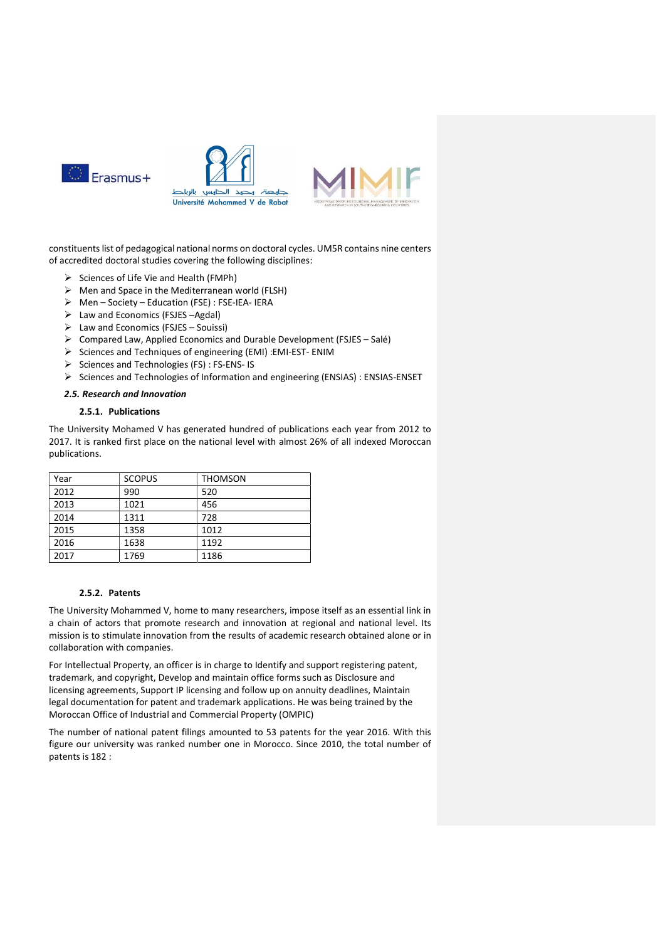

constituents list of pedagogical national norms on doctoral cycles. UM5R contains nine centers of accredited doctoral studies covering the following disciplines:

- $\triangleright$  Sciences of Life Vie and Health (FMPh)
- $\triangleright$  Men and Space in the Mediterranean world (FLSH)
- $\triangleright$  Men Society Education (FSE) : FSE-IEA- IERA
- Law and Economics (FSJES –Agdal)
- $\triangleright$  Law and Economics (FSJES Souissi)
- Compared Law, Applied Economics and Durable Development (FSJES Salé)
- Sciences and Techniques of engineering (EMI) :EMI-EST- ENIM
- $\triangleright$  Sciences and Technologies (FS) : FS-ENS- IS
- $\triangleright$  Sciences and Technologies of Information and engineering (ENSIAS) : ENSIAS-ENSET

#### 2.5. Research and Innovation

# 2.5.1. Publications

The University Mohamed V has generated hundred of publications each year from 2012 to 2017. It is ranked first place on the national level with almost 26% of all indexed Moroccan publications.

| Year | <b>SCOPUS</b> | <b>THOMSON</b> |
|------|---------------|----------------|
| 2012 | 990           | 520            |
| 2013 | 1021          | 456            |
| 2014 | 1311          | 728            |
| 2015 | 1358          | 1012           |
| 2016 | 1638          | 1192           |
| 2017 | 1769          | 1186           |

#### 2.5.2. Patents

The University Mohammed V, home to many researchers, impose itself as an essential link in a chain of actors that promote research and innovation at regional and national level. Its mission is to stimulate innovation from the results of academic research obtained alone or in collaboration with companies.

For Intellectual Property, an officer is in charge to Identify and support registering patent, trademark, and copyright, Develop and maintain office forms such as Disclosure and licensing agreements, Support IP licensing and follow up on annuity deadlines, Maintain legal documentation for patent and trademark applications. He was being trained by the Moroccan Office of Industrial and Commercial Property (OMPIC)

The number of national patent filings amounted to 53 patents for the year 2016. With this figure our university was ranked number one in Morocco. Since 2010, the total number of patents is 182 :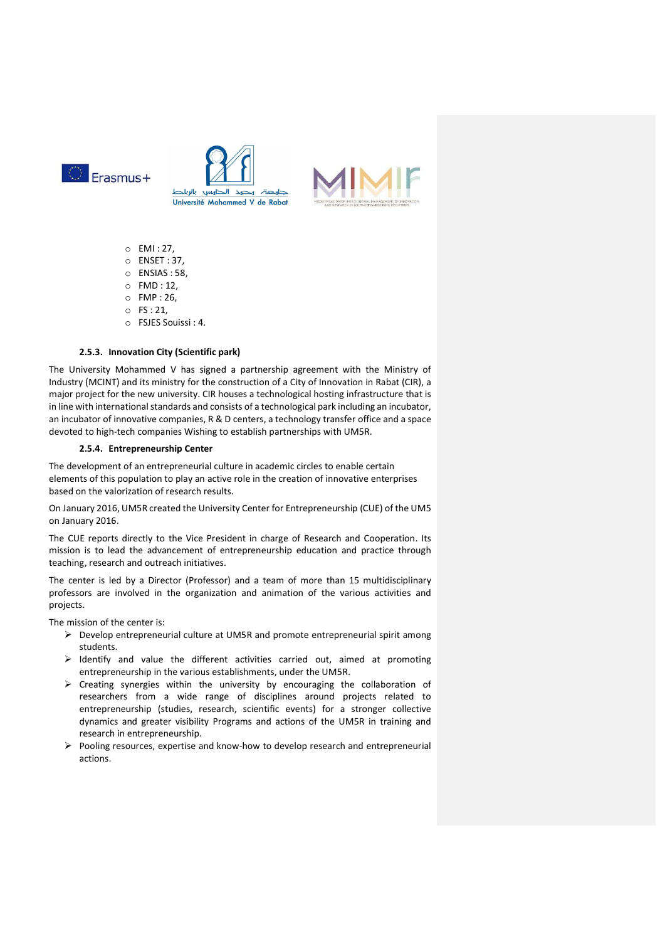





- o EMI : 27,
- o ENSET : 37,
- o ENSIAS : 58,
- o FMD : 12,
- o FMP : 26,
- $\circ$  FS : 21,
- o FSJES Souissi : 4.

# 2.5.3. Innovation City (Scientific park)

The University Mohammed V has signed a partnership agreement with the Ministry of Industry (MCINT) and its ministry for the construction of a City of Innovation in Rabat (CIR), a major project for the new university. CIR houses a technological hosting infrastructure that is in line with international standards and consists of a technological park including an incubator, an incubator of innovative companies, R & D centers, a technology transfer office and a space devoted to high-tech companies Wishing to establish partnerships with UM5R.

# 2.5.4. Entrepreneurship Center

The development of an entrepreneurial culture in academic circles to enable certain elements of this population to play an active role in the creation of innovative enterprises based on the valorization of research results.

On January 2016, UM5R created the University Center for Entrepreneurship (CUE) of the UM5 on January 2016.

The CUE reports directly to the Vice President in charge of Research and Cooperation. Its mission is to lead the advancement of entrepreneurship education and practice through teaching, research and outreach initiatives.

The center is led by a Director (Professor) and a team of more than 15 multidisciplinary professors are involved in the organization and animation of the various activities and projects.

The mission of the center is:

- $\triangleright$  Develop entrepreneurial culture at UM5R and promote entrepreneurial spirit among students.
- $\triangleright$  Identify and value the different activities carried out, aimed at promoting entrepreneurship in the various establishments, under the UM5R.
- $\triangleright$  Creating synergies within the university by encouraging the collaboration of researchers from a wide range of disciplines around projects related to entrepreneurship (studies, research, scientific events) for a stronger collective dynamics and greater visibility Programs and actions of the UM5R in training and research in entrepreneurship.
- $\triangleright$  Pooling resources, expertise and know-how to develop research and entrepreneurial actions.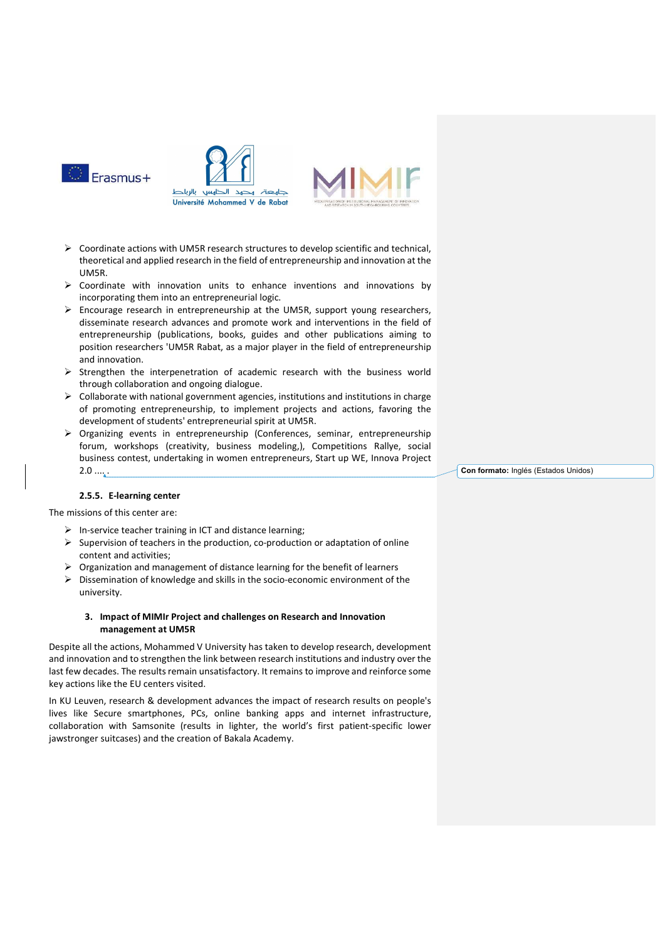

- $\triangleright$  Coordinate actions with UM5R research structures to develop scientific and technical. theoretical and applied research in the field of entrepreneurship and innovation at the UM5R.
- $\triangleright$  Coordinate with innovation units to enhance inventions and innovations by incorporating them into an entrepreneurial logic.
- Encourage research in entrepreneurship at the UM5R, support young researchers, disseminate research advances and promote work and interventions in the field of entrepreneurship (publications, books, guides and other publications aiming to position researchers 'UM5R Rabat, as a major player in the field of entrepreneurship and innovation.
- $\triangleright$  Strengthen the interpenetration of academic research with the business world through collaboration and ongoing dialogue.
- $\triangleright$  Collaborate with national government agencies, institutions and institutions in charge of promoting entrepreneurship, to implement projects and actions, favoring the development of students' entrepreneurial spirit at UM5R.
- Organizing events in entrepreneurship (Conferences, seminar, entrepreneurship forum, workshops (creativity, business modeling,), Competitions Rallye, social business contest, undertaking in women entrepreneurs, Start up WE, Innova Project  $2.0 \ldots$ .

Con formato: Inglés (Estados Unidos)

#### 2.5.5. E-learning center

The missions of this center are:

- $\triangleright$  In-service teacher training in ICT and distance learning;
- $\triangleright$  Supervision of teachers in the production, co-production or adaptation of online content and activities;
- $\triangleright$  Organization and management of distance learning for the benefit of learners
- Dissemination of knowledge and skills in the socio-economic environment of the university.

# 3. Impact of MIMIr Project and challenges on Research and Innovation management at UM5R

Despite all the actions, Mohammed V University has taken to develop research, development and innovation and to strengthen the link between research institutions and industry over the last few decades. The results remain unsatisfactory. It remains to improve and reinforce some key actions like the EU centers visited.

In KU Leuven, research & development advances the impact of research results on people's lives like Secure smartphones, PCs, online banking apps and internet infrastructure, collaboration with Samsonite (results in lighter, the world's first patient-specific lower jawstronger suitcases) and the creation of Bakala Academy.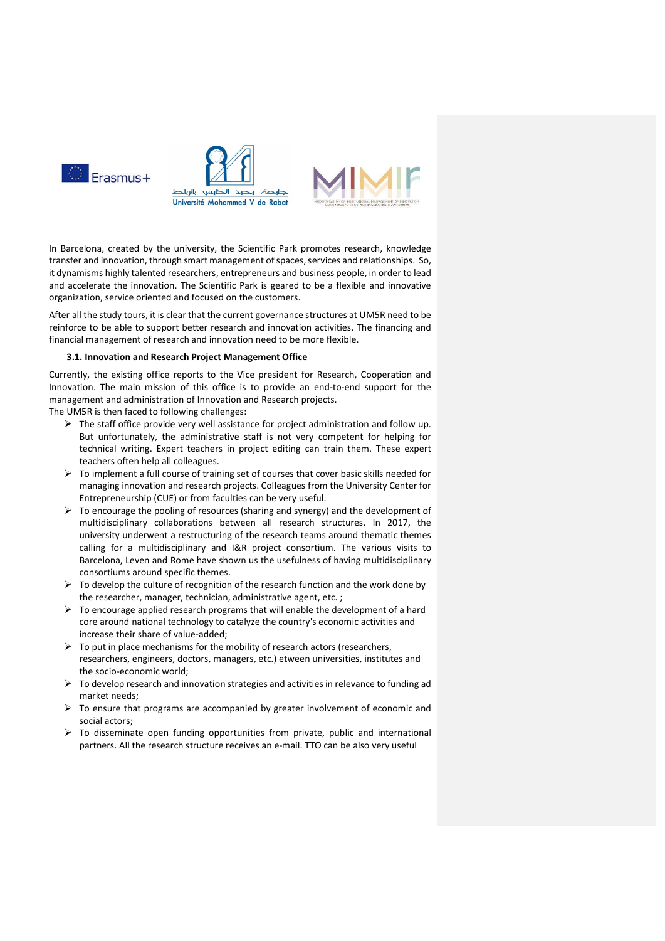

In Barcelona, created by the university, the Scientific Park promotes research, knowledge transfer and innovation, through smart management of spaces, services and relationships. So, it dynamisms highly talented researchers, entrepreneurs and business people, in order to lead and accelerate the innovation. The Scientific Park is geared to be a flexible and innovative organization, service oriented and focused on the customers.

After all the study tours, it is clear that the current governance structures at UM5R need to be reinforce to be able to support better research and innovation activities. The financing and financial management of research and innovation need to be more flexible.

#### 3.1. Innovation and Research Project Management Office

Currently, the existing office reports to the Vice president for Research, Cooperation and Innovation. The main mission of this office is to provide an end-to-end support for the management and administration of Innovation and Research projects.

The UM5R is then faced to following challenges:

- $\triangleright$  The staff office provide very well assistance for project administration and follow up. But unfortunately, the administrative staff is not very competent for helping for technical writing. Expert teachers in project editing can train them. These expert teachers often help all colleagues.
- $\triangleright$  To implement a full course of training set of courses that cover basic skills needed for managing innovation and research projects. Colleagues from the University Center for Entrepreneurship (CUE) or from faculties can be very useful.
- $\triangleright$  To encourage the pooling of resources (sharing and synergy) and the development of multidisciplinary collaborations between all research structures. In 2017, the university underwent a restructuring of the research teams around thematic themes calling for a multidisciplinary and I&R project consortium. The various visits to Barcelona, Leven and Rome have shown us the usefulness of having multidisciplinary consortiums around specific themes.
- $\triangleright$  To develop the culture of recognition of the research function and the work done by the researcher, manager, technician, administrative agent, etc. ;
- $\triangleright$  To encourage applied research programs that will enable the development of a hard core around national technology to catalyze the country's economic activities and increase their share of value-added;
- $\triangleright$  To put in place mechanisms for the mobility of research actors (researchers, researchers, engineers, doctors, managers, etc.) etween universities, institutes and the socio-economic world;
- $\triangleright$  To develop research and innovation strategies and activities in relevance to funding ad market needs;
- $\triangleright$  To ensure that programs are accompanied by greater involvement of economic and social actors;
- $\triangleright$  To disseminate open funding opportunities from private, public and international partners. All the research structure receives an e-mail. TTO can be also very useful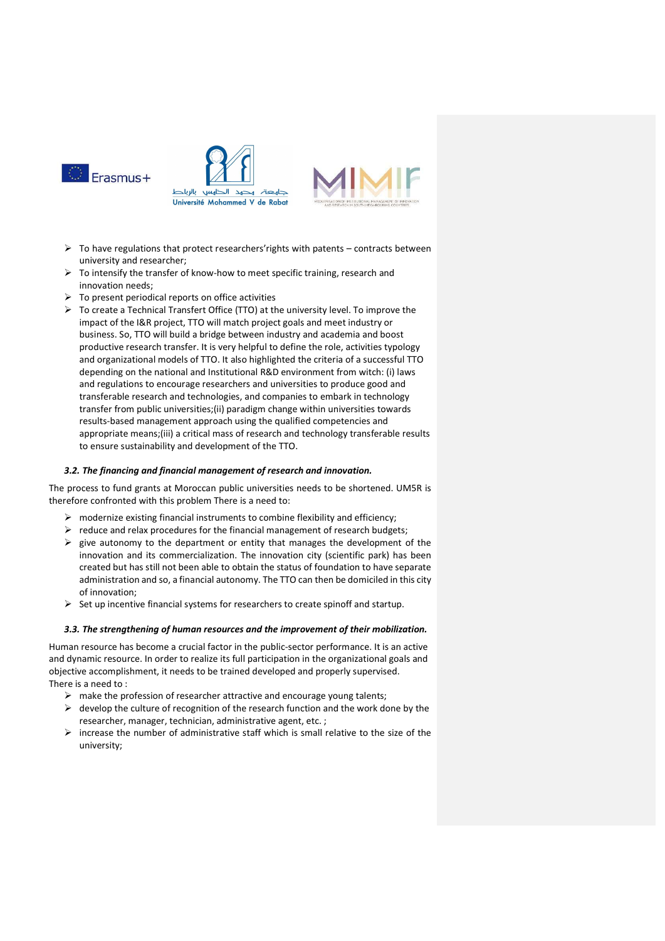

- $\triangleright$  To have regulations that protect researchers' rights with patents contracts between university and researcher;
- $\triangleright$  To intensify the transfer of know-how to meet specific training, research and innovation needs;
- $\triangleright$  To present periodical reports on office activities
- $\triangleright$  To create a Technical Transfert Office (TTO) at the university level. To improve the impact of the I&R project, TTO will match project goals and meet industry or business. So, TTO will build a bridge between industry and academia and boost productive research transfer. It is very helpful to define the role, activities typology and organizational models of TTO. It also highlighted the criteria of a successful TTO depending on the national and Institutional R&D environment from witch: (i) laws and regulations to encourage researchers and universities to produce good and transferable research and technologies, and companies to embark in technology transfer from public universities;(ii) paradigm change within universities towards results-based management approach using the qualified competencies and appropriate means;(iii) a critical mass of research and technology transferable results to ensure sustainability and development of the TTO.

# 3.2. The financing and financial management of research and innovation.

The process to fund grants at Moroccan public universities needs to be shortened. UM5R is therefore confronted with this problem There is a need to:

- $\triangleright$  modernize existing financial instruments to combine flexibility and efficiency;
- $\triangleright$  reduce and relax procedures for the financial management of research budgets;
- $\triangleright$  give autonomy to the department or entity that manages the development of the innovation and its commercialization. The innovation city (scientific park) has been created but has still not been able to obtain the status of foundation to have separate administration and so, a financial autonomy. The TTO can then be domiciled in this city of innovation;
- $\triangleright$  Set up incentive financial systems for researchers to create spinoff and startup.

#### 3.3. The strengthening of human resources and the improvement of their mobilization.

Human resource has become a crucial factor in the public-sector performance. It is an active and dynamic resource. In order to realize its full participation in the organizational goals and objective accomplishment, it needs to be trained developed and properly supervised. There is a need to :

- $\triangleright$  make the profession of researcher attractive and encourage young talents;
- $\triangleright$  develop the culture of recognition of the research function and the work done by the researcher, manager, technician, administrative agent, etc. ;
- $\triangleright$  increase the number of administrative staff which is small relative to the size of the university;